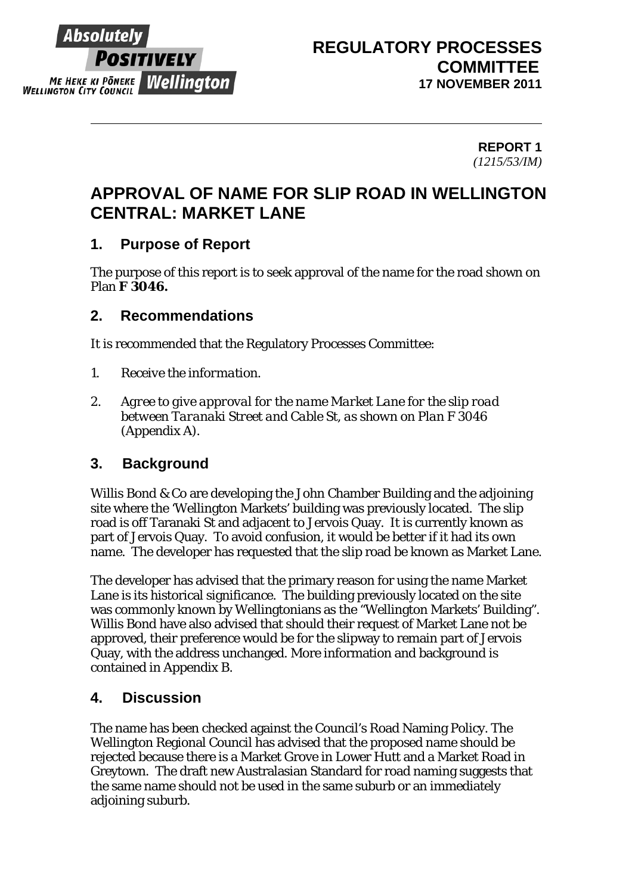

# **REGULATORY PROCESSES COMMITTEE 17 NOVEMBER 2011**

**REPORT 1**  *(1215/53/IM)* 

# **APPROVAL OF NAME FOR SLIP ROAD IN WELLINGTON CENTRAL: MARKET LANE**

## **1. Purpose of Report**

The purpose of this report is to seek approval of the name for the road shown on Plan **F 3046.**

## **2. Recommendations**

It is recommended that the Regulatory Processes Committee:

- *1. Receive the information.*
- *2. Agree to give approval for the name Market Lane for the slip road between Taranaki Street and Cable St, as shown on Plan F 3046 (Appendix A).*

## **3. Background**

Willis Bond & Co are developing the John Chamber Building and the adjoining site where the 'Wellington Markets' building was previously located. The slip road is off Taranaki St and adjacent to Jervois Quay. It is currently known as part of Jervois Quay. To avoid confusion, it would be better if it had its own name. The developer has requested that the slip road be known as Market Lane.

The developer has advised that the primary reason for using the name Market Lane is its historical significance. The building previously located on the site was commonly known by Wellingtonians as the "Wellington Markets' Building". Willis Bond have also advised that should their request of Market Lane not be approved, their preference would be for the slipway to remain part of Jervois Quay, with the address unchanged. More information and background is contained in Appendix B.

# **4. Discussion**

The name has been checked against the Council's Road Naming Policy. The Wellington Regional Council has advised that the proposed name should be rejected because there is a Market Grove in Lower Hutt and a Market Road in Greytown. The draft new Australasian Standard for road naming suggests that the same name should not be used in the same suburb or an immediately adjoining suburb.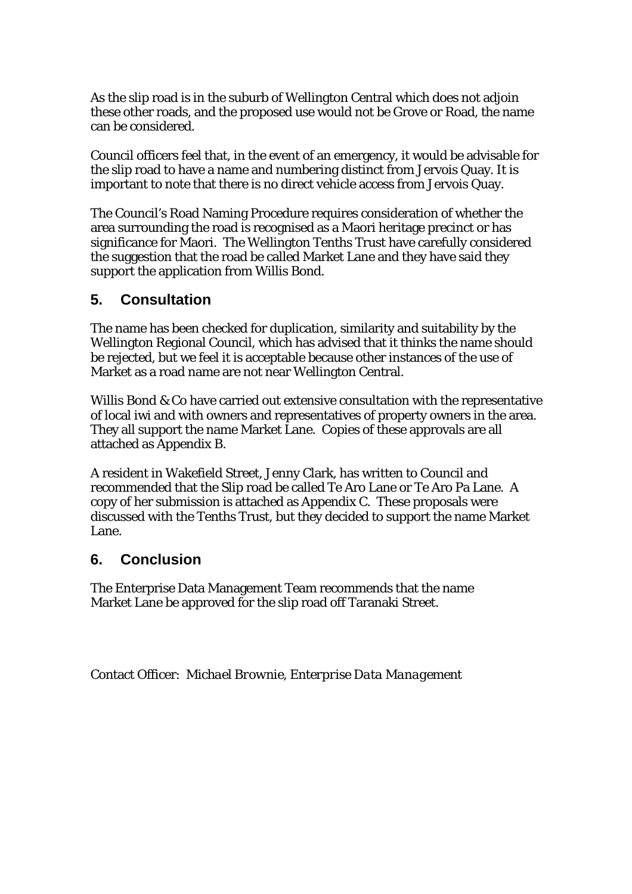As the slip road is in the suburb of Wellington Central which does not adjoin these other roads, and the proposed use would not be Grove or Road, the name can be considered.

Council officers feel that, in the event of an emergency, it would be advisable for the slip road to have a name and numbering distinct from Jervois Quay. It is important to note that there is no direct vehicle access from Jervois Quay.

The Council's Road Naming Procedure requires consideration of whether the area surrounding the road is recognised as a Maori heritage precinct or has significance for Maori. The Wellington Tenths Trust have carefully considered the suggestion that the road be called Market Lane and they have said they support the application from Willis Bond.

## **5. Consultation**

The name has been checked for duplication, similarity and suitability by the Wellington Regional Council, which has advised that it thinks the name should be rejected, but we feel it is acceptable because other instances of the use of Market as a road name are not near Wellington Central.

Willis Bond & Co have carried out extensive consultation with the representative of local iwi and with owners and representatives of property owners in the area. They all support the name Market Lane. Copies of these approvals are all attached as Appendix B.

A resident in Wakefield Street, Jenny Clark, has written to Council and recommended that the Slip road be called Te Aro Lane or Te Aro Pa Lane. A copy of her submission is attached as Appendix C. These proposals were discussed with the Tenths Trust, but they decided to support the name Market Lane.

## **6. Conclusion**

The Enterprise Data Management Team recommends that the name Market Lane be approved for the slip road off Taranaki Street.

Contact Officer: *Michael Brownie, Enterprise Data Management*